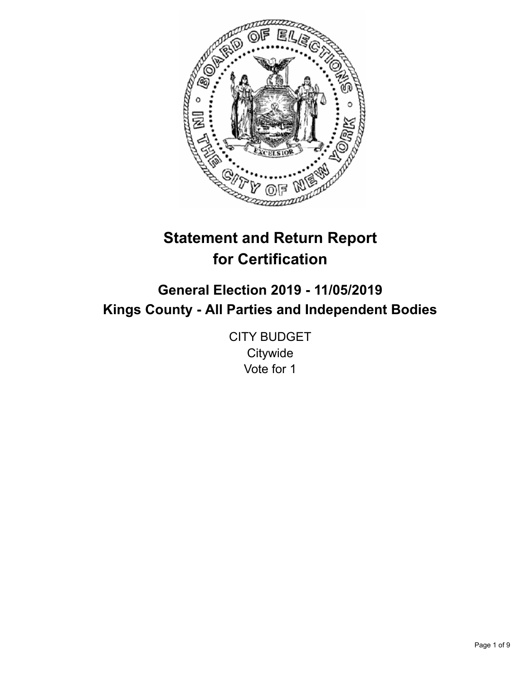

# **Statement and Return Report for Certification**

## **General Election 2019 - 11/05/2019 Kings County - All Parties and Independent Bodies**

CITY BUDGET **Citywide** Vote for 1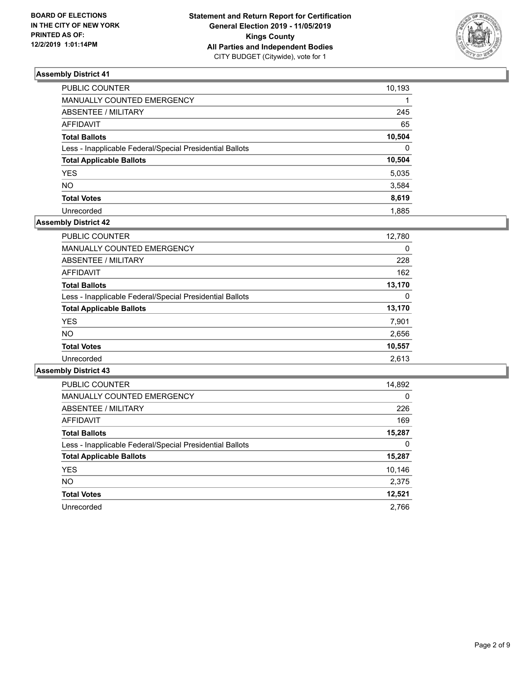

| PUBLIC COUNTER                                           | 10,193       |
|----------------------------------------------------------|--------------|
| MANUALLY COUNTED EMERGENCY                               |              |
| ABSENTEE / MILITARY                                      | 245          |
| AFFIDAVIT                                                | 65           |
| Total Ballots                                            | 10,504       |
| Less - Inapplicable Federal/Special Presidential Ballots | $\mathbf{0}$ |
| <b>Total Applicable Ballots</b>                          | 10,504       |
| YES                                                      | 5,035        |
| NO.                                                      | 3,584        |
| <b>Total Votes</b>                                       | 8,619        |
| Unrecorded                                               | 1.885        |

## **Assembly District 42**

| <b>PUBLIC COUNTER</b>                                    | 12,780   |
|----------------------------------------------------------|----------|
| MANUALLY COUNTED EMERGENCY                               | 0        |
| ABSENTEE / MILITARY                                      | 228      |
| AFFIDAVIT                                                | 162      |
| <b>Total Ballots</b>                                     | 13,170   |
| Less - Inapplicable Federal/Special Presidential Ballots | $\Omega$ |
| <b>Total Applicable Ballots</b>                          | 13,170   |
| <b>YES</b>                                               | 7,901    |
| <b>NO</b>                                                | 2,656    |
| <b>Total Votes</b>                                       | 10,557   |
| Unrecorded                                               | 2.613    |

| <b>PUBLIC COUNTER</b>                                    | 14,892   |
|----------------------------------------------------------|----------|
| <b>MANUALLY COUNTED EMERGENCY</b>                        | $\Omega$ |
| ABSENTEE / MILITARY                                      | 226      |
| <b>AFFIDAVIT</b>                                         | 169      |
| <b>Total Ballots</b>                                     | 15,287   |
| Less - Inapplicable Federal/Special Presidential Ballots | 0        |
| <b>Total Applicable Ballots</b>                          | 15,287   |
| <b>YES</b>                                               | 10,146   |
| NO.                                                      | 2,375    |
| <b>Total Votes</b>                                       | 12,521   |
| Unrecorded                                               | 2.766    |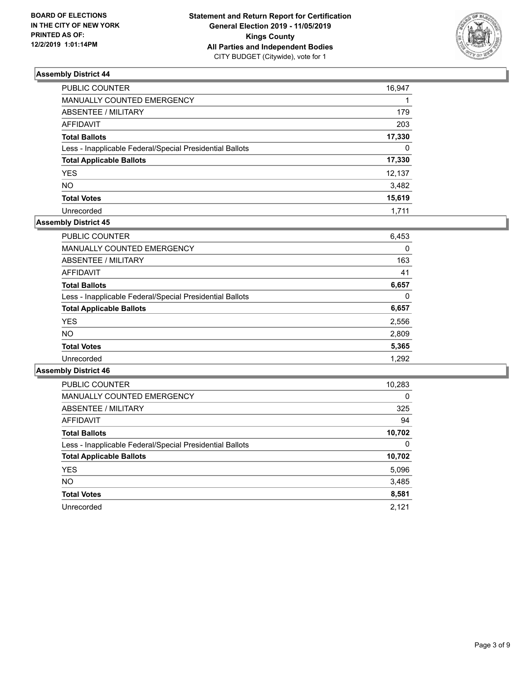

| PUBLIC COUNTER                                           | 16,947   |
|----------------------------------------------------------|----------|
| MANUALLY COUNTED EMERGENCY                               |          |
| ABSENTEE / MILITARY                                      | 179      |
| AFFIDAVIT                                                | 203      |
| Total Ballots                                            | 17,330   |
| Less - Inapplicable Federal/Special Presidential Ballots | $\Omega$ |
| <b>Total Applicable Ballots</b>                          | 17,330   |
| YES                                                      | 12,137   |
| NO.                                                      | 3,482    |
| <b>Total Votes</b>                                       | 15,619   |
| Unrecorded                                               | 1.711    |

## **Assembly District 45**

| <b>PUBLIC COUNTER</b>                                    | 6,453 |
|----------------------------------------------------------|-------|
| <b>MANUALLY COUNTED EMERGENCY</b>                        | 0     |
| ABSENTEE / MILITARY                                      | 163   |
| AFFIDAVIT                                                | 41    |
| <b>Total Ballots</b>                                     | 6.657 |
| Less - Inapplicable Federal/Special Presidential Ballots | 0     |
| <b>Total Applicable Ballots</b>                          | 6,657 |
| <b>YES</b>                                               | 2,556 |
| <b>NO</b>                                                | 2,809 |
| <b>Total Votes</b>                                       | 5,365 |
| Unrecorded                                               | 1.292 |
|                                                          |       |

| <b>PUBLIC COUNTER</b>                                    | 10,283   |
|----------------------------------------------------------|----------|
| <b>MANUALLY COUNTED EMERGENCY</b>                        | $\Omega$ |
| ABSENTEE / MILITARY                                      | 325      |
| <b>AFFIDAVIT</b>                                         | 94       |
| <b>Total Ballots</b>                                     | 10,702   |
| Less - Inapplicable Federal/Special Presidential Ballots | 0        |
| <b>Total Applicable Ballots</b>                          | 10,702   |
| <b>YES</b>                                               | 5,096    |
| NO.                                                      | 3,485    |
| <b>Total Votes</b>                                       | 8,581    |
| Unrecorded                                               | 2.121    |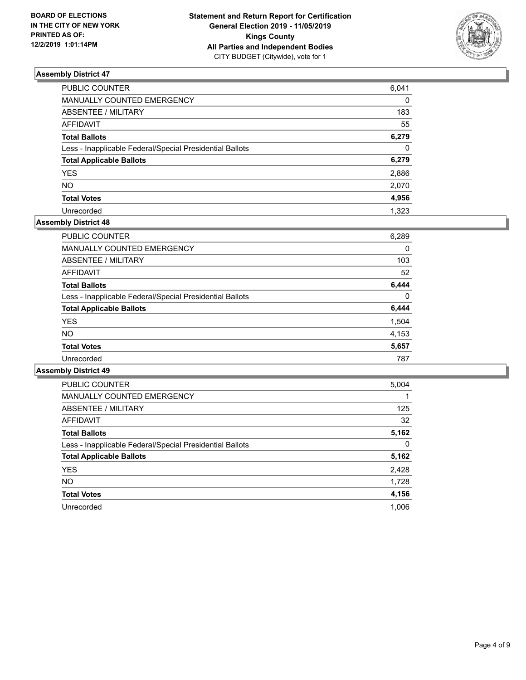

| PUBLIC COUNTER                                           | 6,041        |
|----------------------------------------------------------|--------------|
| MANUALLY COUNTED EMERGENCY                               | 0            |
| ABSENTEE / MILITARY                                      | 183          |
| AFFIDAVIT                                                | 55           |
| Total Ballots                                            | 6,279        |
| Less - Inapplicable Federal/Special Presidential Ballots | $\mathbf{0}$ |
| <b>Total Applicable Ballots</b>                          | 6,279        |
| YES                                                      | 2,886        |
| NO.                                                      | 2,070        |
| <b>Total Votes</b>                                       | 4,956        |
| Unrecorded                                               | 1.323        |

#### **Assembly District 48**

| PUBLIC COUNTER                                           | 6,289 |
|----------------------------------------------------------|-------|
| MANUALLY COUNTED EMERGENCY                               | 0     |
| ABSENTEE / MILITARY                                      | 103   |
| AFFIDAVIT                                                | 52    |
| <b>Total Ballots</b>                                     | 6,444 |
| Less - Inapplicable Federal/Special Presidential Ballots | 0     |
| <b>Total Applicable Ballots</b>                          | 6,444 |
| <b>YES</b>                                               | 1,504 |
| NO.                                                      | 4.153 |
| <b>Total Votes</b>                                       | 5,657 |
| Unrecorded                                               | 787   |
|                                                          |       |

| <b>PUBLIC COUNTER</b>                                    | 5,004 |
|----------------------------------------------------------|-------|
| <b>MANUALLY COUNTED EMERGENCY</b>                        |       |
| ABSENTEE / MILITARY                                      | 125   |
| <b>AFFIDAVIT</b>                                         | 32    |
| <b>Total Ballots</b>                                     | 5,162 |
| Less - Inapplicable Federal/Special Presidential Ballots | 0     |
| <b>Total Applicable Ballots</b>                          | 5,162 |
| <b>YES</b>                                               | 2,428 |
| NO.                                                      | 1,728 |
| <b>Total Votes</b>                                       | 4,156 |
| Unrecorded                                               | 1.006 |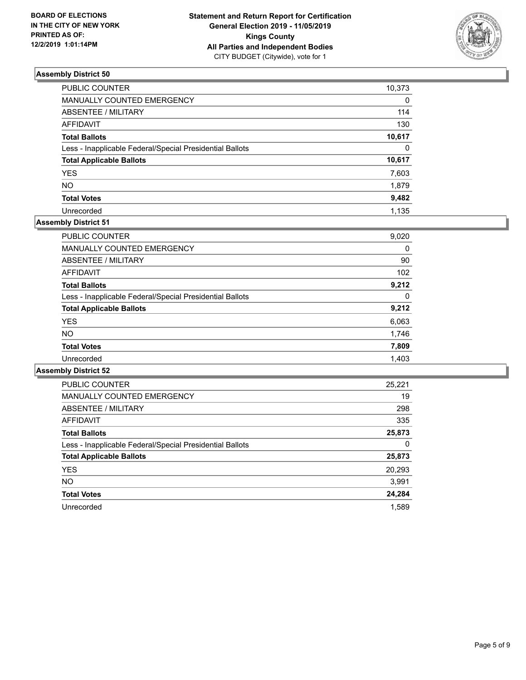

| PUBLIC COUNTER                                           | 10,373   |
|----------------------------------------------------------|----------|
| MANUALLY COUNTED EMERGENCY                               | 0        |
| ABSENTEE / MILITARY                                      | 114      |
| AFFIDAVIT                                                | 130      |
| Total Ballots                                            | 10,617   |
| Less - Inapplicable Federal/Special Presidential Ballots | $\Omega$ |
| <b>Total Applicable Ballots</b>                          | 10,617   |
| YES                                                      | 7,603    |
| NO.                                                      | 1,879    |
| <b>Total Votes</b>                                       | 9,482    |
| Unrecorded                                               | 1.135    |

## **Assembly District 51**

| 9,020    |
|----------|
| 0        |
| 90       |
| 102      |
| 9.212    |
| $\Omega$ |
| 9,212    |
| 6,063    |
| 1,746    |
| 7,809    |
| 1,403    |
|          |

| <b>PUBLIC COUNTER</b>                                    | 25.221 |
|----------------------------------------------------------|--------|
| <b>MANUALLY COUNTED EMERGENCY</b>                        | 19     |
| ABSENTEE / MILITARY                                      | 298    |
| <b>AFFIDAVIT</b>                                         | 335    |
| <b>Total Ballots</b>                                     | 25,873 |
| Less - Inapplicable Federal/Special Presidential Ballots | 0      |
| <b>Total Applicable Ballots</b>                          | 25,873 |
| <b>YES</b>                                               | 20.293 |
| NO.                                                      | 3.991  |
| <b>Total Votes</b>                                       | 24.284 |
| Unrecorded                                               | 1.589  |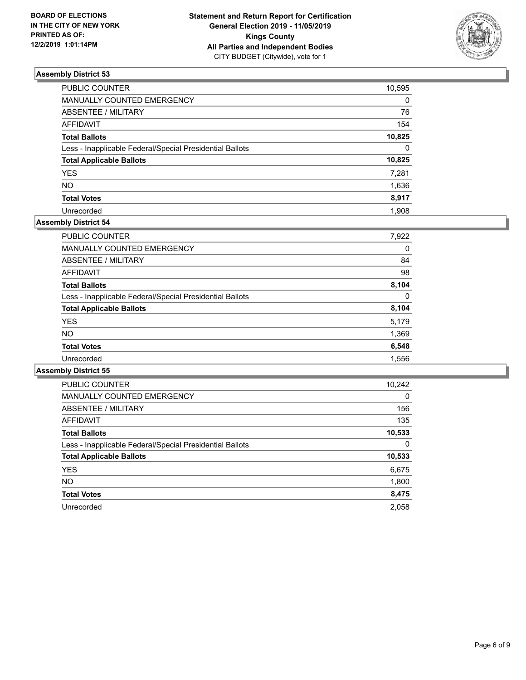

| PUBLIC COUNTER                                           | 10,595   |
|----------------------------------------------------------|----------|
| MANUALLY COUNTED EMERGENCY                               | 0        |
| ABSENTEE / MILITARY                                      | 76       |
| AFFIDAVIT                                                | 154      |
| Total Ballots                                            | 10,825   |
| Less - Inapplicable Federal/Special Presidential Ballots | $\Omega$ |
| <b>Total Applicable Ballots</b>                          | 10,825   |
| YES                                                      | 7,281    |
| NO.                                                      | 1,636    |
| <b>Total Votes</b>                                       | 8,917    |
| Unrecorded                                               | 1.908    |

## **Assembly District 54**

| <b>PUBLIC COUNTER</b>                                    | 10,242   |
|----------------------------------------------------------|----------|
| <b>MANUALLY COUNTED EMERGENCY</b>                        | $\Omega$ |
| ABSENTEE / MILITARY                                      | 156      |
| <b>AFFIDAVIT</b>                                         | 135      |
| <b>Total Ballots</b>                                     | 10,533   |
| Less - Inapplicable Federal/Special Presidential Ballots | 0        |
| <b>Total Applicable Ballots</b>                          | 10,533   |
| <b>YES</b>                                               | 6,675    |
| <b>NO</b>                                                | 1,800    |
| <b>Total Votes</b>                                       | 8,475    |
| Unrecorded                                               | 2.058    |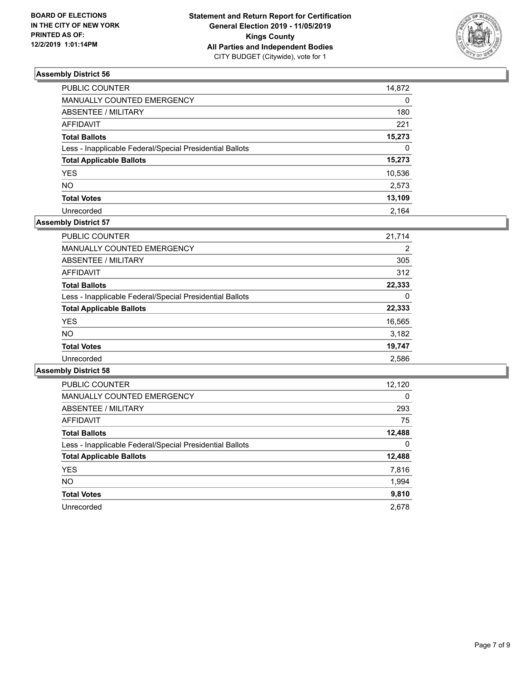

| PUBLIC COUNTER                                           | 14,872       |
|----------------------------------------------------------|--------------|
| MANUALLY COUNTED EMERGENCY                               | 0            |
| ABSENTEE / MILITARY                                      | 180          |
| AFFIDAVIT                                                | 221          |
| Total Ballots                                            | 15,273       |
| Less - Inapplicable Federal/Special Presidential Ballots | $\mathbf{0}$ |
| <b>Total Applicable Ballots</b>                          | 15,273       |
| <b>YES</b>                                               | 10,536       |
| NO.                                                      | 2,573        |
| <b>Total Votes</b>                                       | 13,109       |
| Unrecorded                                               | 2.164        |

## **Assembly District 57**

| <b>PUBLIC COUNTER</b>                                    | 21.714 |
|----------------------------------------------------------|--------|
| <b>MANUALLY COUNTED EMERGENCY</b>                        | 2      |
| ABSENTEE / MILITARY                                      | 305    |
| AFFIDAVIT                                                | 312    |
| <b>Total Ballots</b>                                     | 22,333 |
| Less - Inapplicable Federal/Special Presidential Ballots | 0      |
| <b>Total Applicable Ballots</b>                          | 22,333 |
| <b>YES</b>                                               | 16,565 |
| NO.                                                      | 3,182  |
| <b>Total Votes</b>                                       | 19,747 |
| Unrecorded                                               | 2,586  |

| <b>PUBLIC COUNTER</b>                                    | 12,120   |
|----------------------------------------------------------|----------|
| <b>MANUALLY COUNTED EMERGENCY</b>                        | $\Omega$ |
| ABSENTEE / MILITARY                                      | 293      |
| <b>AFFIDAVIT</b>                                         | 75       |
| <b>Total Ballots</b>                                     | 12,488   |
| Less - Inapplicable Federal/Special Presidential Ballots | 0        |
| <b>Total Applicable Ballots</b>                          | 12,488   |
| <b>YES</b>                                               | 7,816    |
| NO.                                                      | 1,994    |
| <b>Total Votes</b>                                       | 9,810    |
| Unrecorded                                               | 2.678    |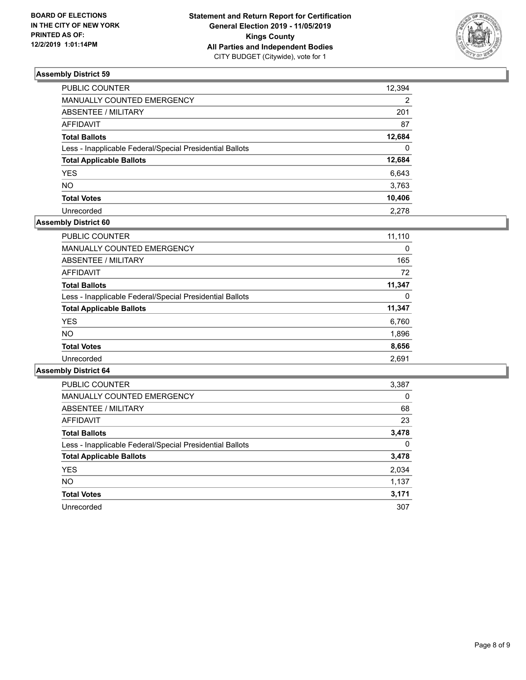

| PUBLIC COUNTER                                           | 12,394   |
|----------------------------------------------------------|----------|
| MANUALLY COUNTED EMERGENCY                               | 2        |
| ABSENTEE / MILITARY                                      | 201      |
| AFFIDAVIT                                                | 87       |
| Total Ballots                                            | 12,684   |
| Less - Inapplicable Federal/Special Presidential Ballots | $\Omega$ |
| <b>Total Applicable Ballots</b>                          | 12,684   |
| YES                                                      | 6,643    |
| NO.                                                      | 3,763    |
| <b>Total Votes</b>                                       | 10,406   |
| Unrecorded                                               | 2.278    |

## **Assembly District 60**

| 11,110 |
|--------|
| 0      |
| 165    |
| 72     |
| 11,347 |
| 0      |
| 11,347 |
| 6,760  |
| 1,896  |
| 8,656  |
| 2,691  |
|        |

| <b>PUBLIC COUNTER</b>                                    | 3,387    |
|----------------------------------------------------------|----------|
| <b>MANUALLY COUNTED EMERGENCY</b>                        | $\Omega$ |
| ABSENTEE / MILITARY                                      | 68       |
| AFFIDAVIT                                                | 23       |
| <b>Total Ballots</b>                                     | 3,478    |
| Less - Inapplicable Federal/Special Presidential Ballots | 0        |
| <b>Total Applicable Ballots</b>                          | 3,478    |
| <b>YES</b>                                               | 2,034    |
| NO.                                                      | 1,137    |
| <b>Total Votes</b>                                       | 3,171    |
| Unrecorded                                               | 307      |